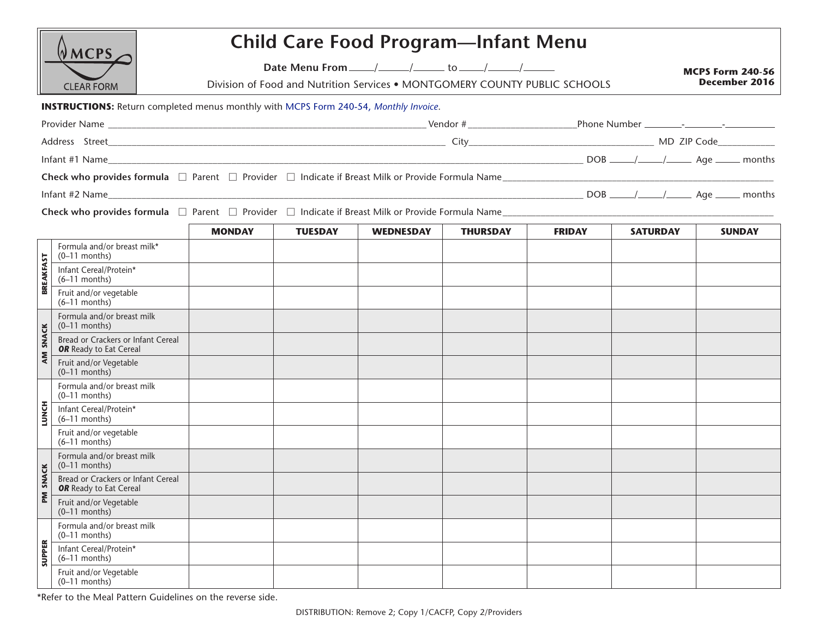|                                                                                                  | <b>MCPS</b>                                                                                 |                                                                                                                                                                                                                                                                                                                                                                                                                                                                                         |                | <b>Child Care Food Program-Infant Menu</b> |                 |               |                 |                                                 |  |
|--------------------------------------------------------------------------------------------------|---------------------------------------------------------------------------------------------|-----------------------------------------------------------------------------------------------------------------------------------------------------------------------------------------------------------------------------------------------------------------------------------------------------------------------------------------------------------------------------------------------------------------------------------------------------------------------------------------|----------------|--------------------------------------------|-----------------|---------------|-----------------|-------------------------------------------------|--|
| <b>CLEAR FORM</b>                                                                                |                                                                                             | Date Menu From $\frac{1}{\sqrt{1-\frac{1}{1-\frac{1}{1-\frac{1}{1-\frac{1}{1-\frac{1}{1-\frac{1}{1-\frac{1}{1-\frac{1}{1-\frac{1}{1-\frac{1}{1-\frac{1}{1-\frac{1}{1-\frac{1}{1-\frac{1}{1-\frac{1}{1-\frac{1}{1-\frac{1}{1-\frac{1}{1-\frac{1}{1-\frac{1}{1-\frac{1}{1-\frac{1}{1-\frac{1}{1-\frac{1}{1-\frac{1}{1-\frac{1}{1-\frac{1}{1-\frac{1}{1-\frac{1}{1-\frac{1}{1-\frac{1}{1-\frac{1}{1-\frac{1$<br>Division of Food and Nutrition Services . MONTGOMERY COUNTY PUBLIC SCHOOLS |                |                                            |                 |               |                 | <b>MCPS Form 240-56</b><br><b>December 2016</b> |  |
|                                                                                                  | <b>INSTRUCTIONS:</b> Return completed menus monthly with MCPS Form 240-54, Monthly Invoice. |                                                                                                                                                                                                                                                                                                                                                                                                                                                                                         |                |                                            |                 |               |                 |                                                 |  |
|                                                                                                  |                                                                                             |                                                                                                                                                                                                                                                                                                                                                                                                                                                                                         |                |                                            |                 |               |                 |                                                 |  |
|                                                                                                  |                                                                                             |                                                                                                                                                                                                                                                                                                                                                                                                                                                                                         |                |                                            |                 |               |                 |                                                 |  |
|                                                                                                  |                                                                                             |                                                                                                                                                                                                                                                                                                                                                                                                                                                                                         |                |                                            |                 |               |                 |                                                 |  |
| Check who provides formula □ Parent □ Provider □ Indicate if Breast Milk or Provide Formula Name |                                                                                             |                                                                                                                                                                                                                                                                                                                                                                                                                                                                                         |                |                                            |                 |               |                 |                                                 |  |
|                                                                                                  | Infant #2 Name                                                                              |                                                                                                                                                                                                                                                                                                                                                                                                                                                                                         |                |                                            |                 |               |                 |                                                 |  |
| Check who provides formula □ Parent □ Provider □ Indicate if Breast Milk or Provide Formula Name |                                                                                             |                                                                                                                                                                                                                                                                                                                                                                                                                                                                                         |                |                                            |                 |               |                 |                                                 |  |
|                                                                                                  |                                                                                             | <b>MONDAY</b>                                                                                                                                                                                                                                                                                                                                                                                                                                                                           | <b>TUESDAY</b> | <b>WEDNESDAY</b>                           | <b>THURSDAY</b> | <b>FRIDAY</b> | <b>SATURDAY</b> | <b>SUNDAY</b>                                   |  |
| <b>BREAKFAST</b>                                                                                 | Formula and/or breast milk*<br>$(0-11$ months)                                              |                                                                                                                                                                                                                                                                                                                                                                                                                                                                                         |                |                                            |                 |               |                 |                                                 |  |
|                                                                                                  | Infant Cereal/Protein*<br>$(6-11$ months)                                                   |                                                                                                                                                                                                                                                                                                                                                                                                                                                                                         |                |                                            |                 |               |                 |                                                 |  |
|                                                                                                  | Fruit and/or vegetable<br>$(6-11$ months)                                                   |                                                                                                                                                                                                                                                                                                                                                                                                                                                                                         |                |                                            |                 |               |                 |                                                 |  |
| <b>SNACK</b><br>AM                                                                               | Formula and/or breast milk<br>$(0-11$ months)                                               |                                                                                                                                                                                                                                                                                                                                                                                                                                                                                         |                |                                            |                 |               |                 |                                                 |  |
|                                                                                                  | Bread or Crackers or Infant Cereal<br><b>OR</b> Ready to Eat Cereal                         |                                                                                                                                                                                                                                                                                                                                                                                                                                                                                         |                |                                            |                 |               |                 |                                                 |  |
|                                                                                                  | Fruit and/or Vegetable<br>$(0-11$ months)                                                   |                                                                                                                                                                                                                                                                                                                                                                                                                                                                                         |                |                                            |                 |               |                 |                                                 |  |
| <b>LUNCH</b>                                                                                     | Formula and/or breast milk<br>$(0-11$ months)                                               |                                                                                                                                                                                                                                                                                                                                                                                                                                                                                         |                |                                            |                 |               |                 |                                                 |  |
|                                                                                                  | Infant Cereal/Protein*<br>$(6-11$ months)                                                   |                                                                                                                                                                                                                                                                                                                                                                                                                                                                                         |                |                                            |                 |               |                 |                                                 |  |
|                                                                                                  | Fruit and/or vegetable<br>$(6-11$ months)                                                   |                                                                                                                                                                                                                                                                                                                                                                                                                                                                                         |                |                                            |                 |               |                 |                                                 |  |
| <b>SNACK</b><br>ΣĀ                                                                               | Formula and/or breast milk<br>$(0-11$ months)                                               |                                                                                                                                                                                                                                                                                                                                                                                                                                                                                         |                |                                            |                 |               |                 |                                                 |  |
|                                                                                                  | Bread or Crackers or Infant Cereal<br><b>OR</b> Ready to Eat Cereal                         |                                                                                                                                                                                                                                                                                                                                                                                                                                                                                         |                |                                            |                 |               |                 |                                                 |  |
|                                                                                                  | Fruit and/or Vegetable<br>$(0-11$ months)                                                   |                                                                                                                                                                                                                                                                                                                                                                                                                                                                                         |                |                                            |                 |               |                 |                                                 |  |
| <b>SUPPER</b>                                                                                    | Formula and/or breast milk<br>$(0-11$ months)                                               |                                                                                                                                                                                                                                                                                                                                                                                                                                                                                         |                |                                            |                 |               |                 |                                                 |  |
|                                                                                                  | Infant Cereal/Protein*<br>$(6-11$ months)                                                   |                                                                                                                                                                                                                                                                                                                                                                                                                                                                                         |                |                                            |                 |               |                 |                                                 |  |
|                                                                                                  | Fruit and/or Vegetable<br>$(0-11$ months)                                                   |                                                                                                                                                                                                                                                                                                                                                                                                                                                                                         |                |                                            |                 |               |                 |                                                 |  |

\*Refer to the Meal Pattern Guidelines on the reverse side.